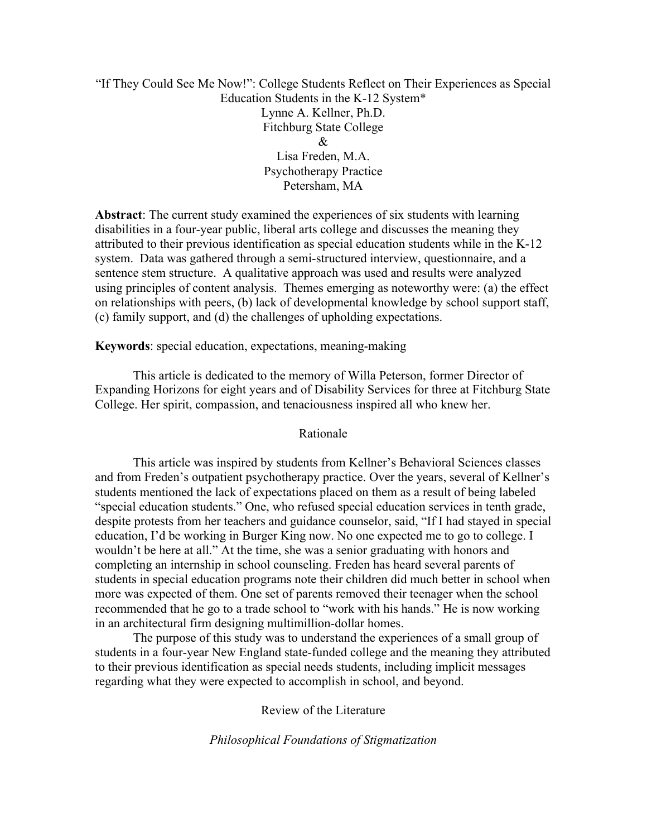## "If They Could See Me Now!": College Students Reflect on Their Experiences as Special Education Students in the K-12 System\* Lynne A. Kellner, Ph.D. Fitchburg State College  $\mathcal{R}_{\cdot}$ Lisa Freden, M.A. Psychotherapy Practice Petersham, MA

**Abstract**: The current study examined the experiences of six students with learning disabilities in a four-year public, liberal arts college and discusses the meaning they attributed to their previous identification as special education students while in the K-12 system. Data was gathered through a semi-structured interview, questionnaire, and a sentence stem structure. A qualitative approach was used and results were analyzed using principles of content analysis. Themes emerging as noteworthy were: (a) the effect on relationships with peers, (b) lack of developmental knowledge by school support staff, (c) family support, and (d) the challenges of upholding expectations.

## **Keywords**: special education, expectations, meaning-making

This article is dedicated to the memory of Willa Peterson, former Director of Expanding Horizons for eight years and of Disability Services for three at Fitchburg State College. Her spirit, compassion, and tenaciousness inspired all who knew her.

### Rationale

This article was inspired by students from Kellner's Behavioral Sciences classes and from Freden's outpatient psychotherapy practice. Over the years, several of Kellner's students mentioned the lack of expectations placed on them as a result of being labeled "special education students." One, who refused special education services in tenth grade, despite protests from her teachers and guidance counselor, said, "If I had stayed in special education, I'd be working in Burger King now. No one expected me to go to college. I wouldn't be here at all." At the time, she was a senior graduating with honors and completing an internship in school counseling. Freden has heard several parents of students in special education programs note their children did much better in school when more was expected of them. One set of parents removed their teenager when the school recommended that he go to a trade school to "work with his hands." He is now working in an architectural firm designing multimillion-dollar homes.

The purpose of this study was to understand the experiences of a small group of students in a four-year New England state-funded college and the meaning they attributed to their previous identification as special needs students, including implicit messages regarding what they were expected to accomplish in school, and beyond.

Review of the Literature

*Philosophical Foundations of Stigmatization*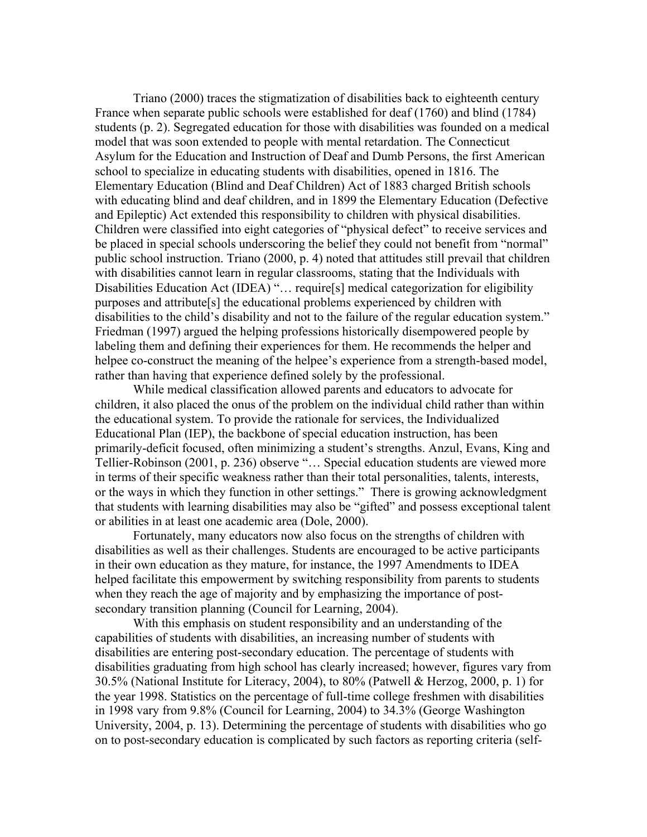Triano (2000) traces the stigmatization of disabilities back to eighteenth century France when separate public schools were established for deaf (1760) and blind (1784) students (p. 2). Segregated education for those with disabilities was founded on a medical model that was soon extended to people with mental retardation. The Connecticut Asylum for the Education and Instruction of Deaf and Dumb Persons, the first American school to specialize in educating students with disabilities, opened in 1816. The Elementary Education (Blind and Deaf Children) Act of 1883 charged British schools with educating blind and deaf children, and in 1899 the Elementary Education (Defective and Epileptic) Act extended this responsibility to children with physical disabilities. Children were classified into eight categories of "physical defect" to receive services and be placed in special schools underscoring the belief they could not benefit from "normal" public school instruction. Triano (2000, p. 4) noted that attitudes still prevail that children with disabilities cannot learn in regular classrooms, stating that the Individuals with Disabilities Education Act (IDEA) "... require[s] medical categorization for eligibility purposes and attribute[s] the educational problems experienced by children with disabilities to the child's disability and not to the failure of the regular education system." Friedman (1997) argued the helping professions historically disempowered people by labeling them and defining their experiences for them. He recommends the helper and helpee co-construct the meaning of the helpee's experience from a strength-based model, rather than having that experience defined solely by the professional.

While medical classification allowed parents and educators to advocate for children, it also placed the onus of the problem on the individual child rather than within the educational system. To provide the rationale for services, the Individualized Educational Plan (IEP), the backbone of special education instruction, has been primarily-deficit focused, often minimizing a student's strengths. Anzul, Evans, King and Tellier-Robinson (2001, p. 236) observe "… Special education students are viewed more in terms of their specific weakness rather than their total personalities, talents, interests, or the ways in which they function in other settings." There is growing acknowledgment that students with learning disabilities may also be "gifted" and possess exceptional talent or abilities in at least one academic area (Dole, 2000).

Fortunately, many educators now also focus on the strengths of children with disabilities as well as their challenges. Students are encouraged to be active participants in their own education as they mature, for instance, the 1997 Amendments to IDEA helped facilitate this empowerment by switching responsibility from parents to students when they reach the age of majority and by emphasizing the importance of postsecondary transition planning (Council for Learning, 2004).

With this emphasis on student responsibility and an understanding of the capabilities of students with disabilities, an increasing number of students with disabilities are entering post-secondary education. The percentage of students with disabilities graduating from high school has clearly increased; however, figures vary from 30.5% (National Institute for Literacy, 2004), to 80% (Patwell & Herzog, 2000, p. 1) for the year 1998. Statistics on the percentage of full-time college freshmen with disabilities in 1998 vary from 9.8% (Council for Learning, 2004) to 34.3% (George Washington University, 2004, p. 13). Determining the percentage of students with disabilities who go on to post-secondary education is complicated by such factors as reporting criteria (self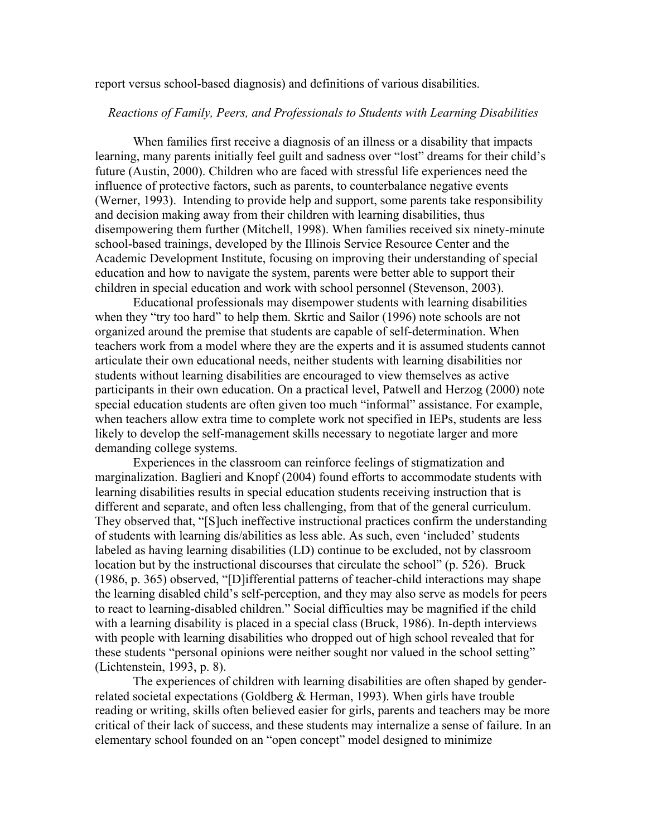report versus school-based diagnosis) and definitions of various disabilities.

### *Reactions of Family, Peers, and Professionals to Students with Learning Disabilities*

When families first receive a diagnosis of an illness or a disability that impacts learning, many parents initially feel guilt and sadness over "lost" dreams for their child's future (Austin, 2000). Children who are faced with stressful life experiences need the influence of protective factors, such as parents, to counterbalance negative events (Werner, 1993). Intending to provide help and support, some parents take responsibility and decision making away from their children with learning disabilities, thus disempowering them further (Mitchell, 1998). When families received six ninety-minute school-based trainings, developed by the Illinois Service Resource Center and the Academic Development Institute, focusing on improving their understanding of special education and how to navigate the system, parents were better able to support their children in special education and work with school personnel (Stevenson, 2003).

Educational professionals may disempower students with learning disabilities when they "try too hard" to help them. Skrtic and Sailor (1996) note schools are not organized around the premise that students are capable of self-determination. When teachers work from a model where they are the experts and it is assumed students cannot articulate their own educational needs, neither students with learning disabilities nor students without learning disabilities are encouraged to view themselves as active participants in their own education. On a practical level, Patwell and Herzog (2000) note special education students are often given too much "informal" assistance. For example, when teachers allow extra time to complete work not specified in IEPs, students are less likely to develop the self-management skills necessary to negotiate larger and more demanding college systems.

Experiences in the classroom can reinforce feelings of stigmatization and marginalization. Baglieri and Knopf (2004) found efforts to accommodate students with learning disabilities results in special education students receiving instruction that is different and separate, and often less challenging, from that of the general curriculum. They observed that, "[S]uch ineffective instructional practices confirm the understanding of students with learning dis/abilities as less able. As such, even 'included' students labeled as having learning disabilities (LD) continue to be excluded, not by classroom location but by the instructional discourses that circulate the school" (p. 526). Bruck (1986, p. 365) observed, "[D]ifferential patterns of teacher-child interactions may shape the learning disabled child's self-perception, and they may also serve as models for peers to react to learning-disabled children." Social difficulties may be magnified if the child with a learning disability is placed in a special class (Bruck, 1986). In-depth interviews with people with learning disabilities who dropped out of high school revealed that for these students "personal opinions were neither sought nor valued in the school setting" (Lichtenstein, 1993, p. 8).

The experiences of children with learning disabilities are often shaped by genderrelated societal expectations (Goldberg & Herman, 1993). When girls have trouble reading or writing, skills often believed easier for girls, parents and teachers may be more critical of their lack of success, and these students may internalize a sense of failure. In an elementary school founded on an "open concept" model designed to minimize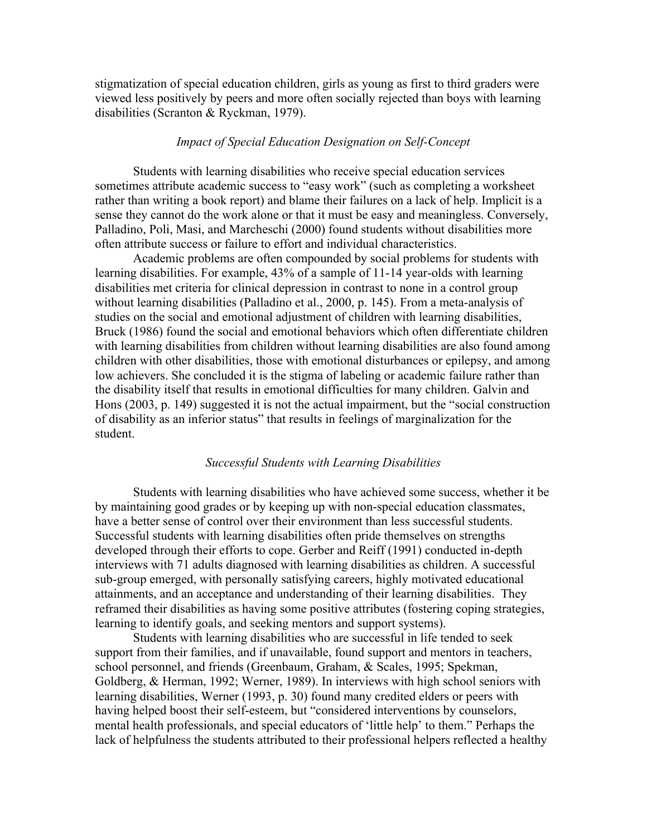stigmatization of special education children, girls as young as first to third graders were viewed less positively by peers and more often socially rejected than boys with learning disabilities (Scranton & Ryckman, 1979).

### *Impact of Special Education Designation on Self-Concept*

Students with learning disabilities who receive special education services sometimes attribute academic success to "easy work" (such as completing a worksheet rather than writing a book report) and blame their failures on a lack of help. Implicit is a sense they cannot do the work alone or that it must be easy and meaningless. Conversely, Palladino, Poli, Masi, and Marcheschi (2000) found students without disabilities more often attribute success or failure to effort and individual characteristics.

Academic problems are often compounded by social problems for students with learning disabilities. For example, 43% of a sample of 11-14 year-olds with learning disabilities met criteria for clinical depression in contrast to none in a control group without learning disabilities (Palladino et al., 2000, p. 145). From a meta-analysis of studies on the social and emotional adjustment of children with learning disabilities, Bruck (1986) found the social and emotional behaviors which often differentiate children with learning disabilities from children without learning disabilities are also found among children with other disabilities, those with emotional disturbances or epilepsy, and among low achievers. She concluded it is the stigma of labeling or academic failure rather than the disability itself that results in emotional difficulties for many children. Galvin and Hons (2003, p. 149) suggested it is not the actual impairment, but the "social construction of disability as an inferior status" that results in feelings of marginalization for the student.

### *Successful Students with Learning Disabilities*

Students with learning disabilities who have achieved some success, whether it be by maintaining good grades or by keeping up with non-special education classmates, have a better sense of control over their environment than less successful students. Successful students with learning disabilities often pride themselves on strengths developed through their efforts to cope. Gerber and Reiff (1991) conducted in-depth interviews with 71 adults diagnosed with learning disabilities as children. A successful sub-group emerged, with personally satisfying careers, highly motivated educational attainments, and an acceptance and understanding of their learning disabilities. They reframed their disabilities as having some positive attributes (fostering coping strategies, learning to identify goals, and seeking mentors and support systems).

Students with learning disabilities who are successful in life tended to seek support from their families, and if unavailable, found support and mentors in teachers, school personnel, and friends (Greenbaum, Graham, & Scales, 1995; Spekman, Goldberg, & Herman, 1992; Werner, 1989). In interviews with high school seniors with learning disabilities, Werner (1993, p. 30) found many credited elders or peers with having helped boost their self-esteem, but "considered interventions by counselors, mental health professionals, and special educators of 'little help' to them." Perhaps the lack of helpfulness the students attributed to their professional helpers reflected a healthy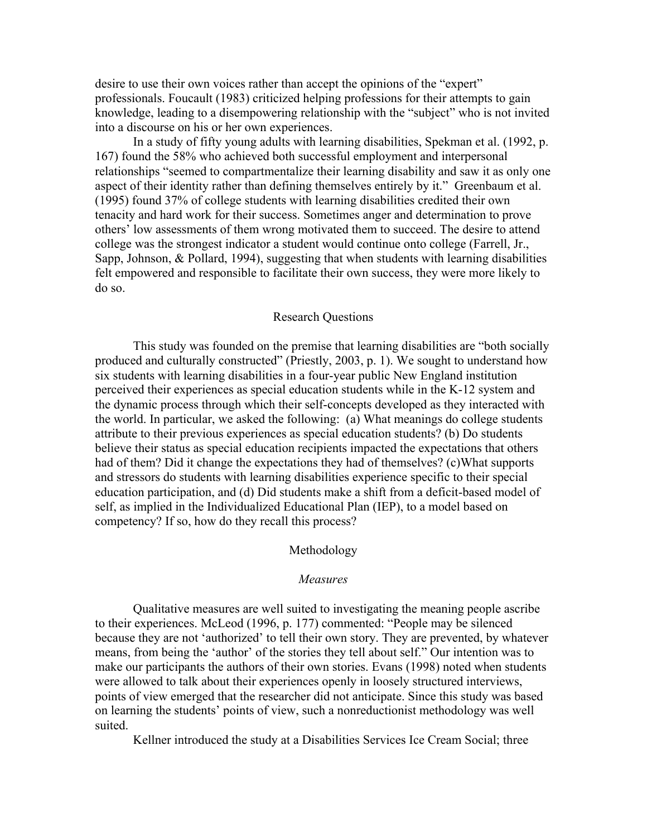desire to use their own voices rather than accept the opinions of the "expert" professionals. Foucault (1983) criticized helping professions for their attempts to gain knowledge, leading to a disempowering relationship with the "subject" who is not invited into a discourse on his or her own experiences.

In a study of fifty young adults with learning disabilities, Spekman et al. (1992, p. 167) found the 58% who achieved both successful employment and interpersonal relationships "seemed to compartmentalize their learning disability and saw it as only one aspect of their identity rather than defining themselves entirely by it." Greenbaum et al. (1995) found 37% of college students with learning disabilities credited their own tenacity and hard work for their success. Sometimes anger and determination to prove others' low assessments of them wrong motivated them to succeed. The desire to attend college was the strongest indicator a student would continue onto college (Farrell, Jr., Sapp, Johnson, & Pollard, 1994), suggesting that when students with learning disabilities felt empowered and responsible to facilitate their own success, they were more likely to do so.

### Research Questions

This study was founded on the premise that learning disabilities are "both socially produced and culturally constructed" (Priestly, 2003, p. 1). We sought to understand how six students with learning disabilities in a four-year public New England institution perceived their experiences as special education students while in the K-12 system and the dynamic process through which their self-concepts developed as they interacted with the world. In particular, we asked the following: (a) What meanings do college students attribute to their previous experiences as special education students? (b) Do students believe their status as special education recipients impacted the expectations that others had of them? Did it change the expectations they had of themselves? (c)What supports and stressors do students with learning disabilities experience specific to their special education participation, and (d) Did students make a shift from a deficit-based model of self, as implied in the Individualized Educational Plan (IEP), to a model based on competency? If so, how do they recall this process?

### Methodology

#### *Measures*

Qualitative measures are well suited to investigating the meaning people ascribe to their experiences. McLeod (1996, p. 177) commented: "People may be silenced because they are not 'authorized' to tell their own story. They are prevented, by whatever means, from being the 'author' of the stories they tell about self." Our intention was to make our participants the authors of their own stories. Evans (1998) noted when students were allowed to talk about their experiences openly in loosely structured interviews, points of view emerged that the researcher did not anticipate. Since this study was based on learning the students' points of view, such a nonreductionist methodology was well suited.

Kellner introduced the study at a Disabilities Services Ice Cream Social; three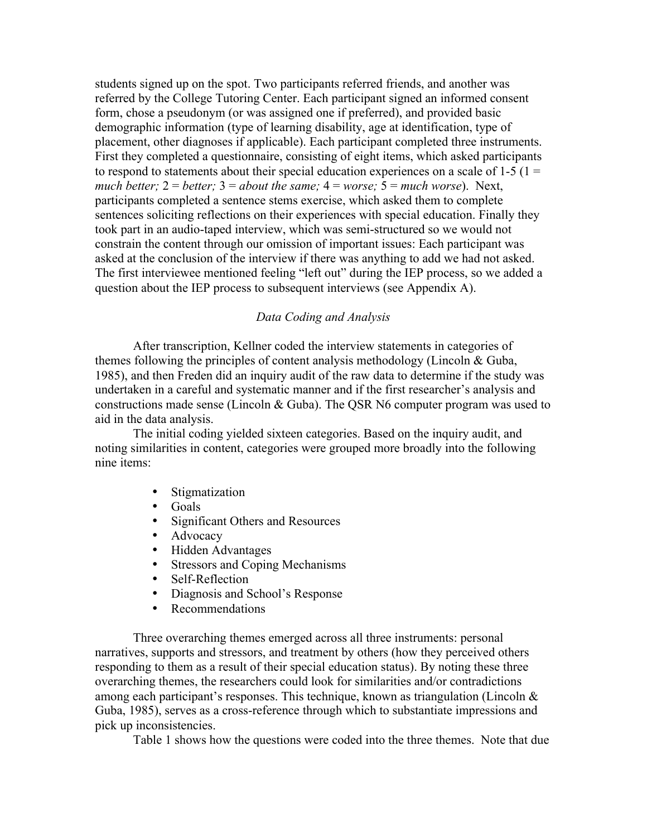students signed up on the spot. Two participants referred friends, and another was referred by the College Tutoring Center. Each participant signed an informed consent form, chose a pseudonym (or was assigned one if preferred), and provided basic demographic information (type of learning disability, age at identification, type of placement, other diagnoses if applicable). Each participant completed three instruments. First they completed a questionnaire, consisting of eight items, which asked participants to respond to statements about their special education experiences on a scale of  $1-5$  ( $1 =$ *much better;*  $2 = \text{better}$ ;  $3 = \text{about the same}$ ;  $4 = \text{worse}$ ;  $5 = \text{much worse}$ ). Next, participants completed a sentence stems exercise, which asked them to complete sentences soliciting reflections on their experiences with special education. Finally they took part in an audio-taped interview, which was semi-structured so we would not constrain the content through our omission of important issues: Each participant was asked at the conclusion of the interview if there was anything to add we had not asked. The first interviewee mentioned feeling "left out" during the IEP process, so we added a question about the IEP process to subsequent interviews (see Appendix A).

## *Data Coding and Analysis*

After transcription, Kellner coded the interview statements in categories of themes following the principles of content analysis methodology (Lincoln & Guba, 1985), and then Freden did an inquiry audit of the raw data to determine if the study was undertaken in a careful and systematic manner and if the first researcher's analysis and constructions made sense (Lincoln & Guba). The QSR N6 computer program was used to aid in the data analysis.

The initial coding yielded sixteen categories. Based on the inquiry audit, and noting similarities in content, categories were grouped more broadly into the following nine items:

- Stigmatization
- Goals
- Significant Others and Resources<br>• Advocacy
- **Advocacy**
- Hidden Advantages<br>• Stressors and Copins
- Stressors and Coping Mechanisms
- Self-Reflection
- Diagnosis and School's Response
- Recommendations

Three overarching themes emerged across all three instruments: personal narratives, supports and stressors, and treatment by others (how they perceived others responding to them as a result of their special education status). By noting these three overarching themes, the researchers could look for similarities and/or contradictions among each participant's responses. This technique, known as triangulation (Lincoln & Guba, 1985), serves as a cross-reference through which to substantiate impressions and pick up inconsistencies.

Table 1 shows how the questions were coded into the three themes. Note that due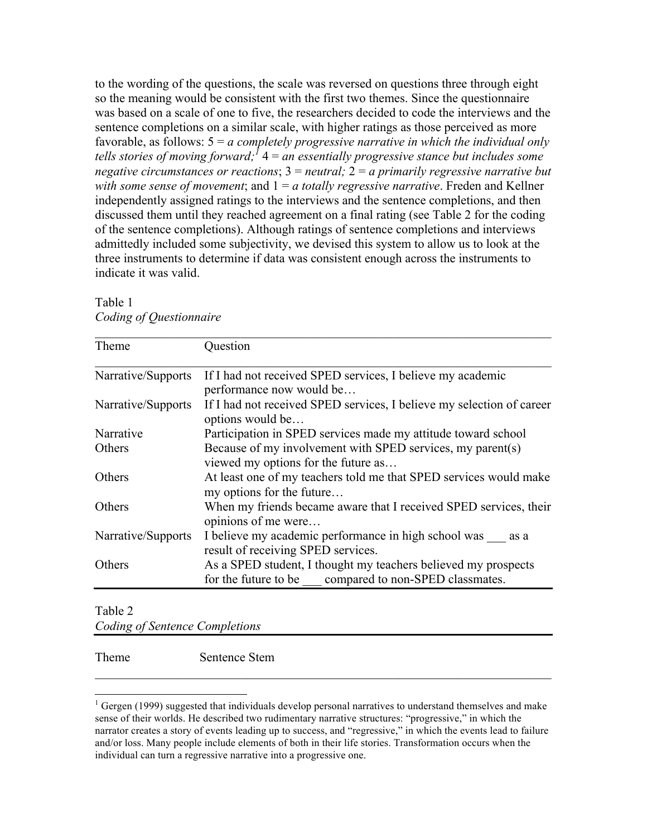to the wording of the questions, the scale was reversed on questions three through eight so the meaning would be consistent with the first two themes. Since the questionnaire was based on a scale of one to five, the researchers decided to code the interviews and the sentence completions on a similar scale, with higher ratings as those perceived as more favorable, as follows: 5 = *a completely progressive narrative in which the individual only tells stories of moving forward;<sup>1</sup>* 4 = *an essentially progressive stance but includes some negative circumstances or reactions*; 3 = *neutral;* 2 = *a primarily regressive narrative but with some sense of movement*; and 1 = *a totally regressive narrative*. Freden and Kellner independently assigned ratings to the interviews and the sentence completions, and then discussed them until they reached agreement on a final rating (see Table 2 for the coding of the sentence completions). Although ratings of sentence completions and interviews admittedly included some subjectivity, we devised this system to allow us to look at the three instruments to determine if data was consistent enough across the instruments to indicate it was valid.

| Theme              | Question                                                                                                                |
|--------------------|-------------------------------------------------------------------------------------------------------------------------|
| Narrative/Supports | If I had not received SPED services, I believe my academic<br>performance now would be                                  |
| Narrative/Supports | If I had not received SPED services, I believe my selection of career<br>options would be                               |
| Narrative          | Participation in SPED services made my attitude toward school                                                           |
| Others             | Because of my involvement with SPED services, my parent(s)<br>viewed my options for the future as                       |
| Others             | At least one of my teachers told me that SPED services would make<br>my options for the future                          |
| Others             | When my friends became aware that I received SPED services, their<br>opinions of me were                                |
| Narrative/Supports | I believe my academic performance in high school was as a<br>result of receiving SPED services.                         |
| <b>Others</b>      | As a SPED student, I thought my teachers believed my prospects<br>for the future to be compared to non-SPED classmates. |

Table 1 *Coding of Questionnaire*

Table 2

*Coding of Sentence Completions*

Theme Sentence Stem

 $\mathcal{L}_\text{max}$  , and the contribution of the contribution of the contribution of the contribution of the contribution of the contribution of the contribution of the contribution of the contribution of the contribution of t

 $\frac{1}{1}$  $1$  Gergen (1999) suggested that individuals develop personal narratives to understand themselves and make sense of their worlds. He described two rudimentary narrative structures: "progressive," in which the narrator creates a story of events leading up to success, and "regressive," in which the events lead to failure and/or loss. Many people include elements of both in their life stories. Transformation occurs when the individual can turn a regressive narrative into a progressive one.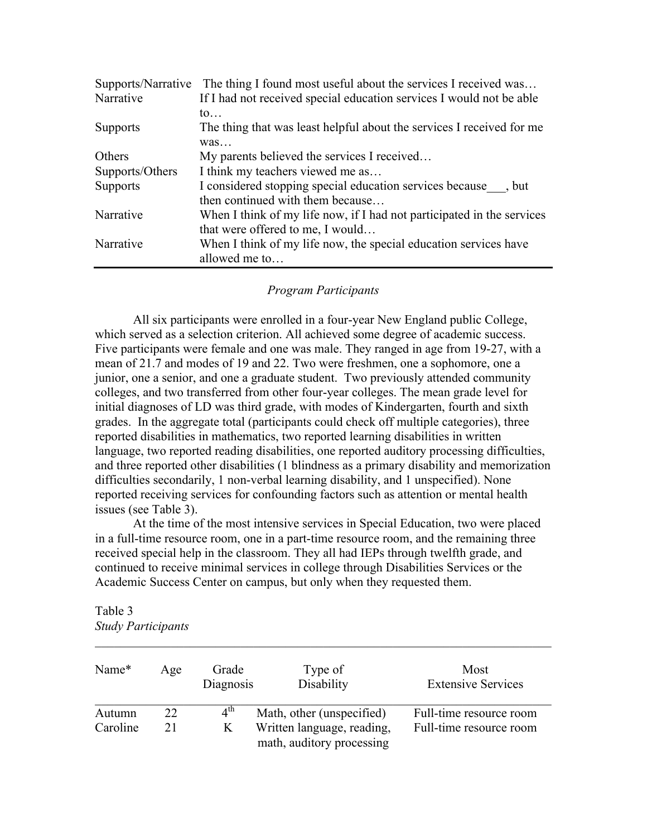| Supports/Narrative | The thing I found most useful about the services I received was        |  |  |  |  |
|--------------------|------------------------------------------------------------------------|--|--|--|--|
| Narrative          | If I had not received special education services I would not be able   |  |  |  |  |
|                    | $\mathfrak{to}$                                                        |  |  |  |  |
| <b>Supports</b>    | The thing that was least helpful about the services I received for me  |  |  |  |  |
|                    | was                                                                    |  |  |  |  |
| Others             | My parents believed the services I received                            |  |  |  |  |
| Supports/Others    | I think my teachers viewed me as                                       |  |  |  |  |
| <b>Supports</b>    | I considered stopping special education services because ___, but      |  |  |  |  |
|                    | then continued with them because                                       |  |  |  |  |
| Narrative          | When I think of my life now, if I had not participated in the services |  |  |  |  |
|                    | that were offered to me, I would                                       |  |  |  |  |
| Narrative          | When I think of my life now, the special education services have       |  |  |  |  |
|                    | allowed me to                                                          |  |  |  |  |

## *Program Participants*

All six participants were enrolled in a four-year New England public College, which served as a selection criterion. All achieved some degree of academic success. Five participants were female and one was male. They ranged in age from 19-27, with a mean of 21.7 and modes of 19 and 22. Two were freshmen, one a sophomore, one a junior, one a senior, and one a graduate student. Two previously attended community colleges, and two transferred from other four-year colleges. The mean grade level for initial diagnoses of LD was third grade, with modes of Kindergarten, fourth and sixth grades. In the aggregate total (participants could check off multiple categories), three reported disabilities in mathematics, two reported learning disabilities in written language, two reported reading disabilities, one reported auditory processing difficulties, and three reported other disabilities (1 blindness as a primary disability and memorization difficulties secondarily, 1 non-verbal learning disability, and 1 unspecified). None reported receiving services for confounding factors such as attention or mental health issues (see Table 3).

At the time of the most intensive services in Special Education, two were placed in a full-time resource room, one in a part-time resource room, and the remaining three received special help in the classroom. They all had IEPs through twelfth grade, and continued to receive minimal services in college through Disabilities Services or the Academic Success Center on campus, but only when they requested them.

| Table 3 |                           |
|---------|---------------------------|
|         | <b>Study Participants</b> |

| Name*    | Age | Grade<br>Diagnosis | Type of<br>Disability                                   | Most<br><b>Extensive Services</b> |
|----------|-----|--------------------|---------------------------------------------------------|-----------------------------------|
| Autumn   | 22  | $4^{\text{th}}$    | Math, other (unspecified)                               | Full-time resource room           |
| Caroline | 21  | K                  | Written language, reading,<br>math, auditory processing | Full-time resource room           |

 $\mathcal{L}_\text{max}$  , and the contribution of the contribution of the contribution of the contribution of the contribution of the contribution of the contribution of the contribution of the contribution of the contribution of t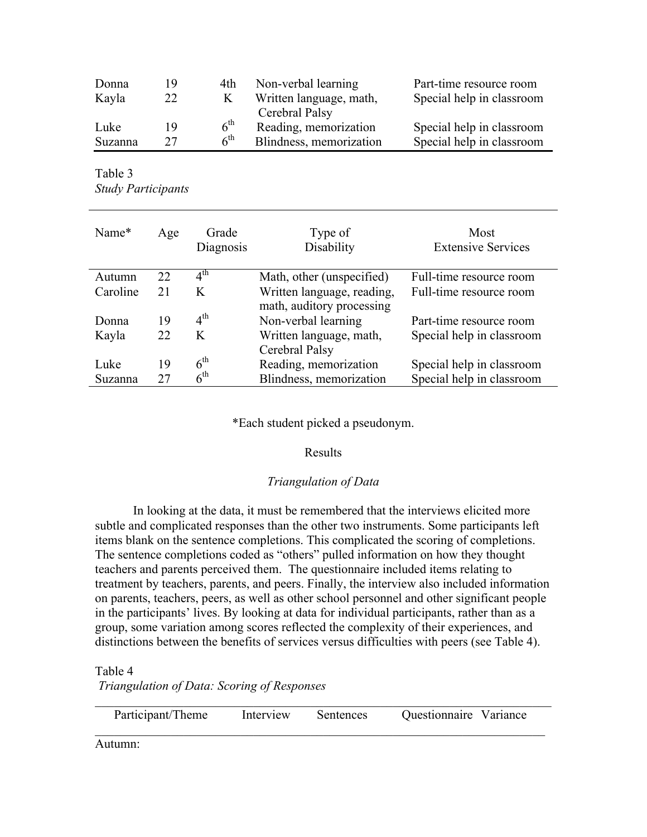| Donna   | 19 | 4th.            | Non-verbal learning     | Part-time resource room   |
|---------|----|-----------------|-------------------------|---------------------------|
| Kayla   | 22 | K               | Written language, math, | Special help in classroom |
|         |    |                 | Cerebral Palsy          |                           |
| Luke    | 19 | 6 <sup>th</sup> | Reading, memorization   | Special help in classroom |
| Suzanna | 27 | 6 <sup>th</sup> | Blindness, memorization | Special help in classroom |

Table 3 *Study Participants*

| Name*    | Age | Grade<br>Diagnosis         | Type of<br>Disability      | Most<br><b>Extensive Services</b> |
|----------|-----|----------------------------|----------------------------|-----------------------------------|
| Autumn   | 22  | $\overline{4}^{\text{th}}$ | Math, other (unspecified)  | Full-time resource room           |
| Caroline | 21  | K                          | Written language, reading, | Full-time resource room           |
|          |     |                            | math, auditory processing  |                                   |
| Donna    | 19  | $4^{\text{th}}$            | Non-verbal learning        | Part-time resource room           |
| Kayla    | 22  | K                          | Written language, math,    | Special help in classroom         |
|          |     |                            | Cerebral Palsy             |                                   |
| Luke     | 19  | $6^{\text{th}}$            | Reading, memorization      | Special help in classroom         |
| Suzanna  | 27  | 6 <sup>th</sup>            | Blindness, memorization    | Special help in classroom         |

\*Each student picked a pseudonym.

# Results

# *Triangulation of Data*

In looking at the data, it must be remembered that the interviews elicited more subtle and complicated responses than the other two instruments. Some participants left items blank on the sentence completions. This complicated the scoring of completions. The sentence completions coded as "others" pulled information on how they thought teachers and parents perceived them. The questionnaire included items relating to treatment by teachers, parents, and peers. Finally, the interview also included information on parents, teachers, peers, as well as other school personnel and other significant people in the participants' lives. By looking at data for individual participants, rather than as a group, some variation among scores reflected the complexity of their experiences, and distinctions between the benefits of services versus difficulties with peers (see Table 4).

Table 4

*Triangulation of Data: Scoring of Responses*

| Participant/Theme | Interview | Sentences | Questionnaire Variance |
|-------------------|-----------|-----------|------------------------|

Autumn: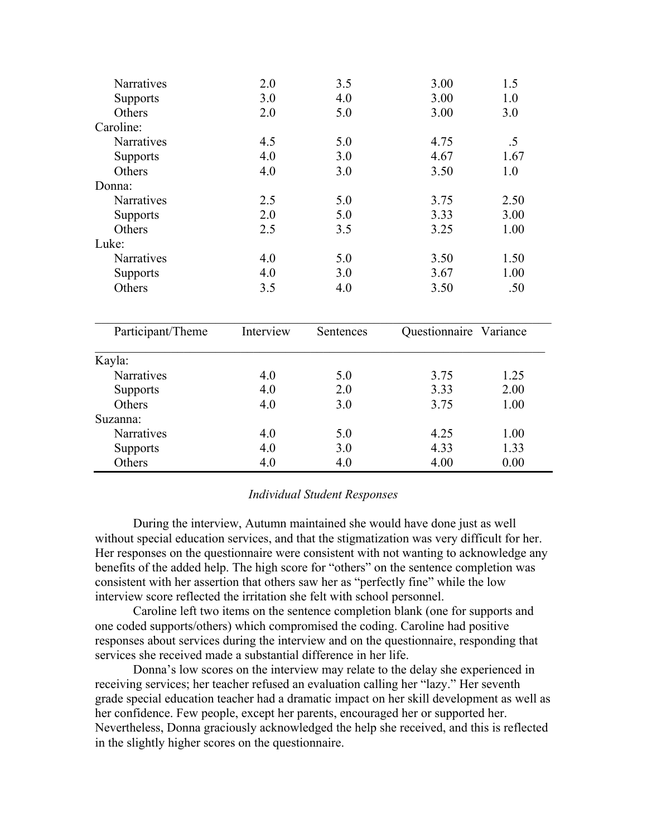| Narratives        | 2.0       | 3.5       | 3.00          | 1.5      |
|-------------------|-----------|-----------|---------------|----------|
| <b>Supports</b>   | 3.0       | 4.0       | 3.00          | 1.0      |
| Others            | 2.0       | 5.0       | 3.00          | 3.0      |
| Caroline:         |           |           |               |          |
| Narratives        | 4.5       | 5.0       | 4.75          | $.5\,$   |
| Supports          | 4.0       | 3.0       | 4.67          | 1.67     |
| Others            | 4.0       | 3.0       | 3.50          | 1.0      |
| Donna:            |           |           |               |          |
| Narratives        | 2.5       | 5.0       | 3.75          | 2.50     |
| <b>Supports</b>   | 2.0       | 5.0       | 3.33          | 3.00     |
| Others            | 2.5       | 3.5       | 3.25          | 1.00     |
| Luke:             |           |           |               |          |
| Narratives        | 4.0       | 5.0       | 3.50          | 1.50     |
| <b>Supports</b>   | 4.0       | 3.0       | 3.67          | 1.00     |
| Others            | 3.5       | 4.0       | 3.50          | .50      |
| Participant/Theme | Interview | Sentences | Questionnaire | Variance |
|                   |           |           |               |          |
| Kayla:            |           |           |               |          |
| Narratives        | 4.0       | 5.0       | 3.75          | 1.25     |
| Supports          | 4.0       | 2.0       | 3.33          | 2.00     |
| Others            | 4.0       | 3.0       | 3.75          | 1.00     |
| Suzanna:          |           |           |               |          |
| Narratives        | 4.0       | 5.0       | 4.25          | 1.00     |
| <b>Supports</b>   | 4.0       | 3.0       | 4.33          | 1.33     |
| Others            | 4.0       | 4.0       | 4.00          | 0.00     |

## *Individual Student Responses*

During the interview, Autumn maintained she would have done just as well without special education services, and that the stigmatization was very difficult for her. Her responses on the questionnaire were consistent with not wanting to acknowledge any benefits of the added help. The high score for "others" on the sentence completion was consistent with her assertion that others saw her as "perfectly fine" while the low interview score reflected the irritation she felt with school personnel.

Caroline left two items on the sentence completion blank (one for supports and one coded supports/others) which compromised the coding. Caroline had positive responses about services during the interview and on the questionnaire, responding that services she received made a substantial difference in her life.

Donna's low scores on the interview may relate to the delay she experienced in receiving services; her teacher refused an evaluation calling her "lazy." Her seventh grade special education teacher had a dramatic impact on her skill development as well as her confidence. Few people, except her parents, encouraged her or supported her. Nevertheless, Donna graciously acknowledged the help she received, and this is reflected in the slightly higher scores on the questionnaire.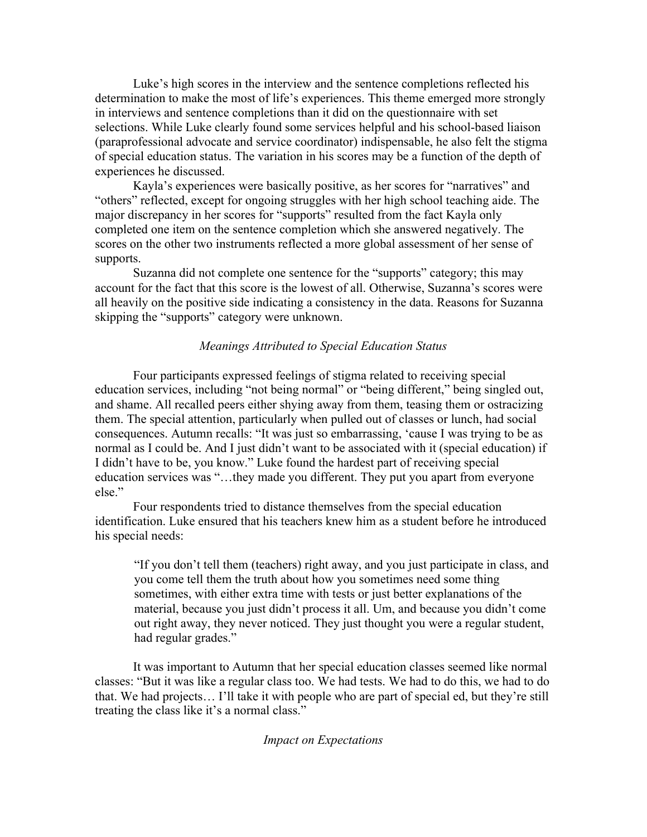Luke's high scores in the interview and the sentence completions reflected his determination to make the most of life's experiences. This theme emerged more strongly in interviews and sentence completions than it did on the questionnaire with set selections. While Luke clearly found some services helpful and his school-based liaison (paraprofessional advocate and service coordinator) indispensable, he also felt the stigma of special education status. The variation in his scores may be a function of the depth of experiences he discussed.

Kayla's experiences were basically positive, as her scores for "narratives" and "others" reflected, except for ongoing struggles with her high school teaching aide. The major discrepancy in her scores for "supports" resulted from the fact Kayla only completed one item on the sentence completion which she answered negatively. The scores on the other two instruments reflected a more global assessment of her sense of supports.

Suzanna did not complete one sentence for the "supports" category; this may account for the fact that this score is the lowest of all. Otherwise, Suzanna's scores were all heavily on the positive side indicating a consistency in the data. Reasons for Suzanna skipping the "supports" category were unknown.

### *Meanings Attributed to Special Education Status*

Four participants expressed feelings of stigma related to receiving special education services, including "not being normal" or "being different," being singled out, and shame. All recalled peers either shying away from them, teasing them or ostracizing them. The special attention, particularly when pulled out of classes or lunch, had social consequences. Autumn recalls: "It was just so embarrassing, 'cause I was trying to be as normal as I could be. And I just didn't want to be associated with it (special education) if I didn't have to be, you know." Luke found the hardest part of receiving special education services was "…they made you different. They put you apart from everyone else."

Four respondents tried to distance themselves from the special education identification. Luke ensured that his teachers knew him as a student before he introduced his special needs:

"If you don't tell them (teachers) right away, and you just participate in class, and you come tell them the truth about how you sometimes need some thing sometimes, with either extra time with tests or just better explanations of the material, because you just didn't process it all. Um, and because you didn't come out right away, they never noticed. They just thought you were a regular student, had regular grades."

It was important to Autumn that her special education classes seemed like normal classes: "But it was like a regular class too. We had tests. We had to do this, we had to do that. We had projects… I'll take it with people who are part of special ed, but they're still treating the class like it's a normal class."

### *Impact on Expectations*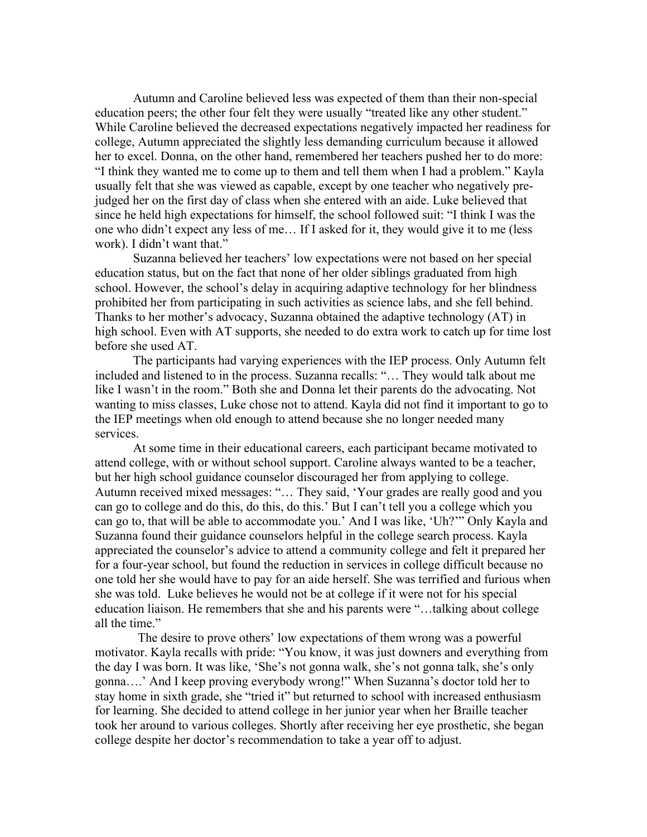Autumn and Caroline believed less was expected of them than their non-special education peers; the other four felt they were usually "treated like any other student." While Caroline believed the decreased expectations negatively impacted her readiness for college, Autumn appreciated the slightly less demanding curriculum because it allowed her to excel. Donna, on the other hand, remembered her teachers pushed her to do more: "I think they wanted me to come up to them and tell them when I had a problem." Kayla usually felt that she was viewed as capable, except by one teacher who negatively prejudged her on the first day of class when she entered with an aide. Luke believed that since he held high expectations for himself, the school followed suit: "I think I was the one who didn't expect any less of me… If I asked for it, they would give it to me (less work). I didn't want that."

Suzanna believed her teachers' low expectations were not based on her special education status, but on the fact that none of her older siblings graduated from high school. However, the school's delay in acquiring adaptive technology for her blindness prohibited her from participating in such activities as science labs, and she fell behind. Thanks to her mother's advocacy, Suzanna obtained the adaptive technology (AT) in high school. Even with AT supports, she needed to do extra work to catch up for time lost before she used AT.

The participants had varying experiences with the IEP process. Only Autumn felt included and listened to in the process. Suzanna recalls: "… They would talk about me like I wasn't in the room." Both she and Donna let their parents do the advocating. Not wanting to miss classes, Luke chose not to attend. Kayla did not find it important to go to the IEP meetings when old enough to attend because she no longer needed many services.

At some time in their educational careers, each participant became motivated to attend college, with or without school support. Caroline always wanted to be a teacher, but her high school guidance counselor discouraged her from applying to college. Autumn received mixed messages: "… They said, 'Your grades are really good and you can go to college and do this, do this, do this.' But I can't tell you a college which you can go to, that will be able to accommodate you.' And I was like, 'Uh?'" Only Kayla and Suzanna found their guidance counselors helpful in the college search process. Kayla appreciated the counselor's advice to attend a community college and felt it prepared her for a four-year school, but found the reduction in services in college difficult because no one told her she would have to pay for an aide herself. She was terrified and furious when she was told. Luke believes he would not be at college if it were not for his special education liaison. He remembers that she and his parents were "…talking about college all the time."

The desire to prove others' low expectations of them wrong was a powerful motivator. Kayla recalls with pride: "You know, it was just downers and everything from the day I was born. It was like, 'She's not gonna walk, she's not gonna talk, she's only gonna….' And I keep proving everybody wrong!" When Suzanna's doctor told her to stay home in sixth grade, she "tried it" but returned to school with increased enthusiasm for learning. She decided to attend college in her junior year when her Braille teacher took her around to various colleges. Shortly after receiving her eye prosthetic, she began college despite her doctor's recommendation to take a year off to adjust.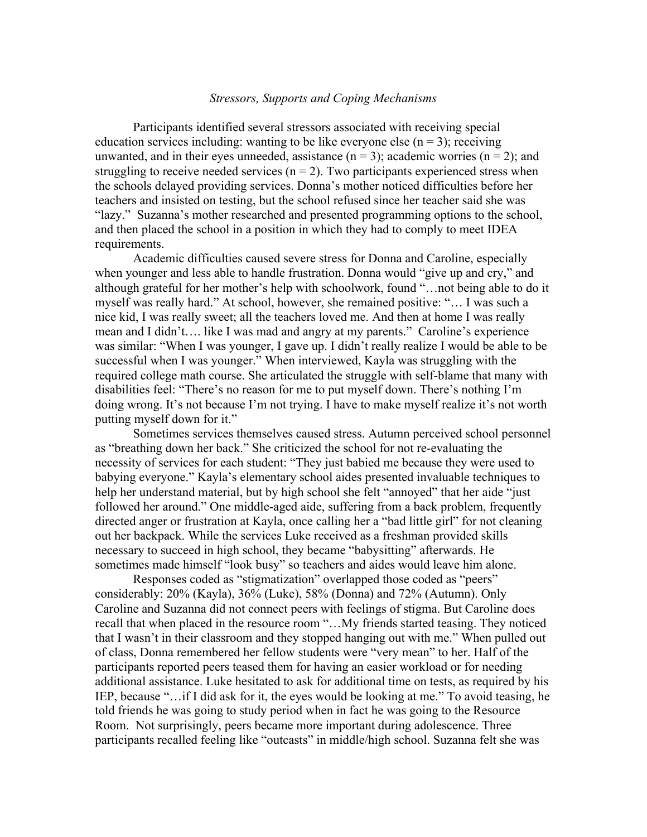## *Stressors, Supports and Coping Mechanisms*

Participants identified several stressors associated with receiving special education services including: wanting to be like everyone else  $(n = 3)$ ; receiving unwanted, and in their eyes unneeded, assistance  $(n = 3)$ ; academic worries  $(n = 2)$ ; and struggling to receive needed services ( $n = 2$ ). Two participants experienced stress when the schools delayed providing services. Donna's mother noticed difficulties before her teachers and insisted on testing, but the school refused since her teacher said she was "lazy." Suzanna's mother researched and presented programming options to the school, and then placed the school in a position in which they had to comply to meet IDEA requirements.

Academic difficulties caused severe stress for Donna and Caroline, especially when younger and less able to handle frustration. Donna would "give up and cry," and although grateful for her mother's help with schoolwork, found "…not being able to do it myself was really hard." At school, however, she remained positive: "… I was such a nice kid, I was really sweet; all the teachers loved me. And then at home I was really mean and I didn't…. like I was mad and angry at my parents." Caroline's experience was similar: "When I was younger, I gave up. I didn't really realize I would be able to be successful when I was younger." When interviewed, Kayla was struggling with the required college math course. She articulated the struggle with self-blame that many with disabilities feel: "There's no reason for me to put myself down. There's nothing I'm doing wrong. It's not because I'm not trying. I have to make myself realize it's not worth putting myself down for it."

Sometimes services themselves caused stress. Autumn perceived school personnel as "breathing down her back." She criticized the school for not re-evaluating the necessity of services for each student: "They just babied me because they were used to babying everyone." Kayla's elementary school aides presented invaluable techniques to help her understand material, but by high school she felt "annoyed" that her aide "just followed her around." One middle-aged aide, suffering from a back problem, frequently directed anger or frustration at Kayla, once calling her a "bad little girl" for not cleaning out her backpack. While the services Luke received as a freshman provided skills necessary to succeed in high school, they became "babysitting" afterwards. He sometimes made himself "look busy" so teachers and aides would leave him alone.

Responses coded as "stigmatization" overlapped those coded as "peers" considerably: 20% (Kayla), 36% (Luke), 58% (Donna) and 72% (Autumn). Only Caroline and Suzanna did not connect peers with feelings of stigma. But Caroline does recall that when placed in the resource room "…My friends started teasing. They noticed that I wasn't in their classroom and they stopped hanging out with me." When pulled out of class, Donna remembered her fellow students were "very mean" to her. Half of the participants reported peers teased them for having an easier workload or for needing additional assistance. Luke hesitated to ask for additional time on tests, as required by his IEP, because "…if I did ask for it, the eyes would be looking at me." To avoid teasing, he told friends he was going to study period when in fact he was going to the Resource Room. Not surprisingly, peers became more important during adolescence. Three participants recalled feeling like "outcasts" in middle/high school. Suzanna felt she was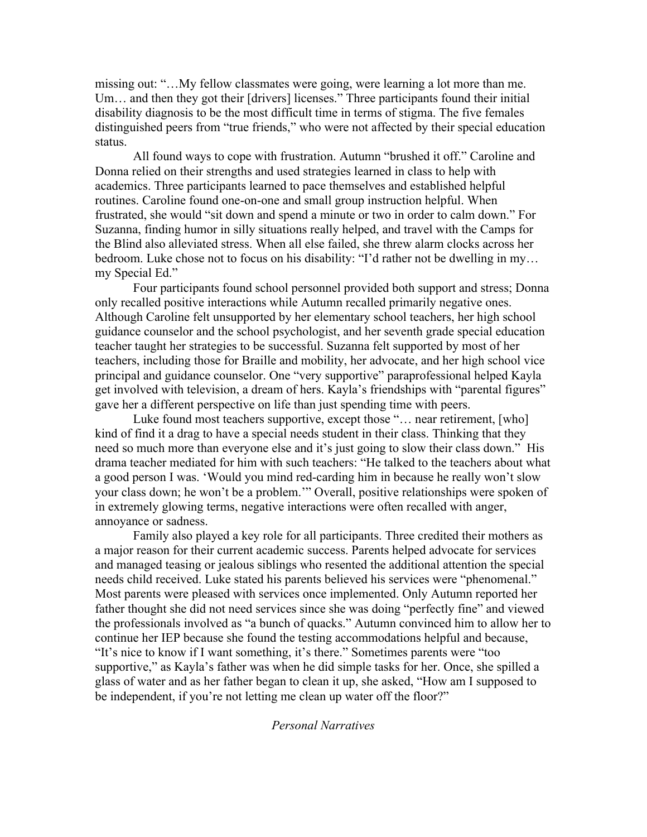missing out: "…My fellow classmates were going, were learning a lot more than me. Um… and then they got their [drivers] licenses." Three participants found their initial disability diagnosis to be the most difficult time in terms of stigma. The five females distinguished peers from "true friends," who were not affected by their special education status.

All found ways to cope with frustration. Autumn "brushed it off." Caroline and Donna relied on their strengths and used strategies learned in class to help with academics. Three participants learned to pace themselves and established helpful routines. Caroline found one-on-one and small group instruction helpful. When frustrated, she would "sit down and spend a minute or two in order to calm down." For Suzanna, finding humor in silly situations really helped, and travel with the Camps for the Blind also alleviated stress. When all else failed, she threw alarm clocks across her bedroom. Luke chose not to focus on his disability: "I'd rather not be dwelling in my… my Special Ed."

Four participants found school personnel provided both support and stress; Donna only recalled positive interactions while Autumn recalled primarily negative ones. Although Caroline felt unsupported by her elementary school teachers, her high school guidance counselor and the school psychologist, and her seventh grade special education teacher taught her strategies to be successful. Suzanna felt supported by most of her teachers, including those for Braille and mobility, her advocate, and her high school vice principal and guidance counselor. One "very supportive" paraprofessional helped Kayla get involved with television, a dream of hers. Kayla's friendships with "parental figures" gave her a different perspective on life than just spending time with peers.

Luke found most teachers supportive, except those "... near retirement, [who] kind of find it a drag to have a special needs student in their class. Thinking that they need so much more than everyone else and it's just going to slow their class down." His drama teacher mediated for him with such teachers: "He talked to the teachers about what a good person I was. 'Would you mind red-carding him in because he really won't slow your class down; he won't be a problem.'" Overall, positive relationships were spoken of in extremely glowing terms, negative interactions were often recalled with anger, annoyance or sadness.

Family also played a key role for all participants. Three credited their mothers as a major reason for their current academic success. Parents helped advocate for services and managed teasing or jealous siblings who resented the additional attention the special needs child received. Luke stated his parents believed his services were "phenomenal." Most parents were pleased with services once implemented. Only Autumn reported her father thought she did not need services since she was doing "perfectly fine" and viewed the professionals involved as "a bunch of quacks." Autumn convinced him to allow her to continue her IEP because she found the testing accommodations helpful and because, "It's nice to know if I want something, it's there." Sometimes parents were "too supportive," as Kayla's father was when he did simple tasks for her. Once, she spilled a glass of water and as her father began to clean it up, she asked, "How am I supposed to be independent, if you're not letting me clean up water off the floor?"

### *Personal Narratives*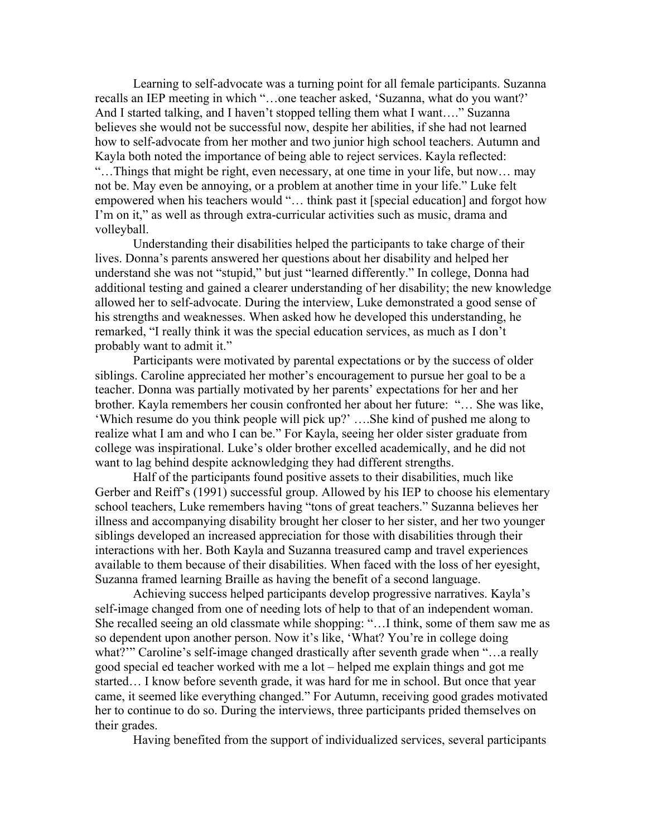Learning to self-advocate was a turning point for all female participants. Suzanna recalls an IEP meeting in which "…one teacher asked, 'Suzanna, what do you want?' And I started talking, and I haven't stopped telling them what I want…." Suzanna believes she would not be successful now, despite her abilities, if she had not learned how to self-advocate from her mother and two junior high school teachers. Autumn and Kayla both noted the importance of being able to reject services. Kayla reflected: "…Things that might be right, even necessary, at one time in your life, but now… may not be. May even be annoying, or a problem at another time in your life." Luke felt empowered when his teachers would "… think past it [special education] and forgot how I'm on it," as well as through extra-curricular activities such as music, drama and volleyball.

Understanding their disabilities helped the participants to take charge of their lives. Donna's parents answered her questions about her disability and helped her understand she was not "stupid," but just "learned differently." In college, Donna had additional testing and gained a clearer understanding of her disability; the new knowledge allowed her to self-advocate. During the interview, Luke demonstrated a good sense of his strengths and weaknesses. When asked how he developed this understanding, he remarked, "I really think it was the special education services, as much as I don't probably want to admit it."

Participants were motivated by parental expectations or by the success of older siblings. Caroline appreciated her mother's encouragement to pursue her goal to be a teacher. Donna was partially motivated by her parents' expectations for her and her brother. Kayla remembers her cousin confronted her about her future: "… She was like, 'Which resume do you think people will pick up?' ….She kind of pushed me along to realize what I am and who I can be." For Kayla, seeing her older sister graduate from college was inspirational. Luke's older brother excelled academically, and he did not want to lag behind despite acknowledging they had different strengths.

Half of the participants found positive assets to their disabilities, much like Gerber and Reiff's (1991) successful group. Allowed by his IEP to choose his elementary school teachers, Luke remembers having "tons of great teachers." Suzanna believes her illness and accompanying disability brought her closer to her sister, and her two younger siblings developed an increased appreciation for those with disabilities through their interactions with her. Both Kayla and Suzanna treasured camp and travel experiences available to them because of their disabilities. When faced with the loss of her eyesight, Suzanna framed learning Braille as having the benefit of a second language.

Achieving success helped participants develop progressive narratives. Kayla's self-image changed from one of needing lots of help to that of an independent woman. She recalled seeing an old classmate while shopping: "…I think, some of them saw me as so dependent upon another person. Now it's like, 'What? You're in college doing what?'" Caroline's self-image changed drastically after seventh grade when "…a really good special ed teacher worked with me a lot – helped me explain things and got me started… I know before seventh grade, it was hard for me in school. But once that year came, it seemed like everything changed." For Autumn, receiving good grades motivated her to continue to do so. During the interviews, three participants prided themselves on their grades.

Having benefited from the support of individualized services, several participants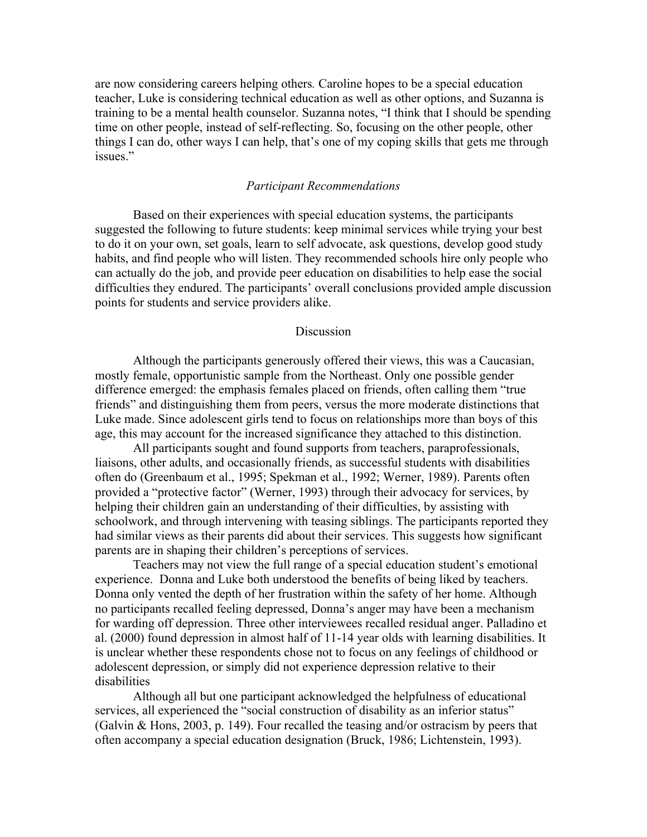are now considering careers helping others*.* Caroline hopes to be a special education teacher, Luke is considering technical education as well as other options, and Suzanna is training to be a mental health counselor. Suzanna notes, "I think that I should be spending time on other people, instead of self-reflecting. So, focusing on the other people, other things I can do, other ways I can help, that's one of my coping skills that gets me through issues."

## *Participant Recommendations*

Based on their experiences with special education systems, the participants suggested the following to future students: keep minimal services while trying your best to do it on your own, set goals, learn to self advocate, ask questions, develop good study habits, and find people who will listen. They recommended schools hire only people who can actually do the job, and provide peer education on disabilities to help ease the social difficulties they endured. The participants' overall conclusions provided ample discussion points for students and service providers alike.

### **Discussion**

Although the participants generously offered their views, this was a Caucasian, mostly female, opportunistic sample from the Northeast. Only one possible gender difference emerged: the emphasis females placed on friends, often calling them "true friends" and distinguishing them from peers, versus the more moderate distinctions that Luke made. Since adolescent girls tend to focus on relationships more than boys of this age, this may account for the increased significance they attached to this distinction.

All participants sought and found supports from teachers, paraprofessionals, liaisons, other adults, and occasionally friends, as successful students with disabilities often do (Greenbaum et al., 1995; Spekman et al., 1992; Werner, 1989). Parents often provided a "protective factor" (Werner, 1993) through their advocacy for services, by helping their children gain an understanding of their difficulties, by assisting with schoolwork, and through intervening with teasing siblings. The participants reported they had similar views as their parents did about their services. This suggests how significant parents are in shaping their children's perceptions of services.

Teachers may not view the full range of a special education student's emotional experience. Donna and Luke both understood the benefits of being liked by teachers. Donna only vented the depth of her frustration within the safety of her home. Although no participants recalled feeling depressed, Donna's anger may have been a mechanism for warding off depression. Three other interviewees recalled residual anger. Palladino et al. (2000) found depression in almost half of 11-14 year olds with learning disabilities. It is unclear whether these respondents chose not to focus on any feelings of childhood or adolescent depression, or simply did not experience depression relative to their disabilities

Although all but one participant acknowledged the helpfulness of educational services, all experienced the "social construction of disability as an inferior status" (Galvin & Hons, 2003, p. 149). Four recalled the teasing and/or ostracism by peers that often accompany a special education designation (Bruck, 1986; Lichtenstein, 1993).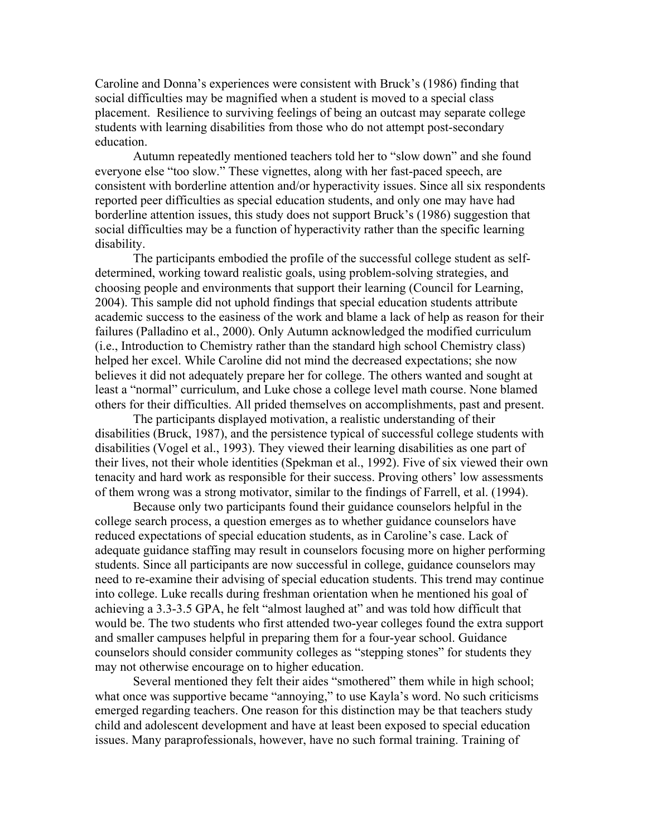Caroline and Donna's experiences were consistent with Bruck's (1986) finding that social difficulties may be magnified when a student is moved to a special class placement. Resilience to surviving feelings of being an outcast may separate college students with learning disabilities from those who do not attempt post-secondary education.

Autumn repeatedly mentioned teachers told her to "slow down" and she found everyone else "too slow." These vignettes, along with her fast-paced speech, are consistent with borderline attention and/or hyperactivity issues. Since all six respondents reported peer difficulties as special education students, and only one may have had borderline attention issues, this study does not support Bruck's (1986) suggestion that social difficulties may be a function of hyperactivity rather than the specific learning disability.

The participants embodied the profile of the successful college student as selfdetermined, working toward realistic goals, using problem-solving strategies, and choosing people and environments that support their learning (Council for Learning, 2004). This sample did not uphold findings that special education students attribute academic success to the easiness of the work and blame a lack of help as reason for their failures (Palladino et al., 2000). Only Autumn acknowledged the modified curriculum (i.e., Introduction to Chemistry rather than the standard high school Chemistry class) helped her excel. While Caroline did not mind the decreased expectations; she now believes it did not adequately prepare her for college. The others wanted and sought at least a "normal" curriculum, and Luke chose a college level math course. None blamed others for their difficulties. All prided themselves on accomplishments, past and present.

The participants displayed motivation, a realistic understanding of their disabilities (Bruck, 1987), and the persistence typical of successful college students with disabilities (Vogel et al., 1993). They viewed their learning disabilities as one part of their lives, not their whole identities (Spekman et al., 1992). Five of six viewed their own tenacity and hard work as responsible for their success. Proving others' low assessments of them wrong was a strong motivator, similar to the findings of Farrell, et al. (1994).

Because only two participants found their guidance counselors helpful in the college search process, a question emerges as to whether guidance counselors have reduced expectations of special education students, as in Caroline's case. Lack of adequate guidance staffing may result in counselors focusing more on higher performing students. Since all participants are now successful in college, guidance counselors may need to re-examine their advising of special education students. This trend may continue into college. Luke recalls during freshman orientation when he mentioned his goal of achieving a 3.3-3.5 GPA, he felt "almost laughed at" and was told how difficult that would be. The two students who first attended two-year colleges found the extra support and smaller campuses helpful in preparing them for a four-year school. Guidance counselors should consider community colleges as "stepping stones" for students they may not otherwise encourage on to higher education.

Several mentioned they felt their aides "smothered" them while in high school; what once was supportive became "annoying," to use Kayla's word. No such criticisms emerged regarding teachers. One reason for this distinction may be that teachers study child and adolescent development and have at least been exposed to special education issues. Many paraprofessionals, however, have no such formal training. Training of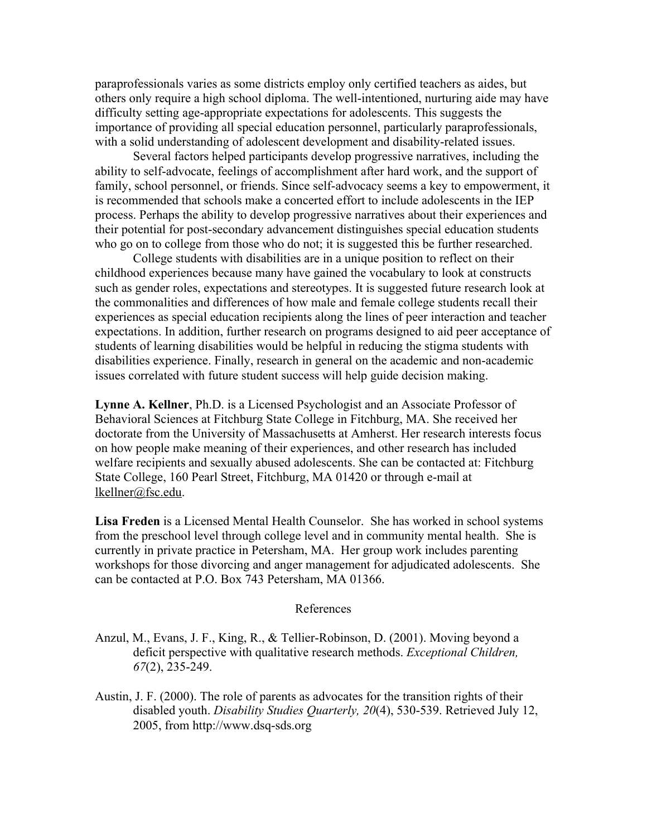paraprofessionals varies as some districts employ only certified teachers as aides, but others only require a high school diploma. The well-intentioned, nurturing aide may have difficulty setting age-appropriate expectations for adolescents. This suggests the importance of providing all special education personnel, particularly paraprofessionals, with a solid understanding of adolescent development and disability-related issues.

Several factors helped participants develop progressive narratives, including the ability to self-advocate, feelings of accomplishment after hard work, and the support of family, school personnel, or friends. Since self-advocacy seems a key to empowerment, it is recommended that schools make a concerted effort to include adolescents in the IEP process. Perhaps the ability to develop progressive narratives about their experiences and their potential for post-secondary advancement distinguishes special education students who go on to college from those who do not; it is suggested this be further researched.

College students with disabilities are in a unique position to reflect on their childhood experiences because many have gained the vocabulary to look at constructs such as gender roles, expectations and stereotypes. It is suggested future research look at the commonalities and differences of how male and female college students recall their experiences as special education recipients along the lines of peer interaction and teacher expectations. In addition, further research on programs designed to aid peer acceptance of students of learning disabilities would be helpful in reducing the stigma students with disabilities experience. Finally, research in general on the academic and non-academic issues correlated with future student success will help guide decision making.

**Lynne A. Kellner**, Ph.D. is a Licensed Psychologist and an Associate Professor of Behavioral Sciences at Fitchburg State College in Fitchburg, MA. She received her doctorate from the University of Massachusetts at Amherst. Her research interests focus on how people make meaning of their experiences, and other research has included welfare recipients and sexually abused adolescents. She can be contacted at: Fitchburg State College, 160 Pearl Street, Fitchburg, MA 01420 or through e-mail at lkellner@fsc.edu.

**Lisa Freden** is a Licensed Mental Health Counselor. She has worked in school systems from the preschool level through college level and in community mental health. She is currently in private practice in Petersham, MA. Her group work includes parenting workshops for those divorcing and anger management for adjudicated adolescents. She can be contacted at P.O. Box 743 Petersham, MA 01366.

#### References

- Anzul, M., Evans, J. F., King, R., & Tellier-Robinson, D. (2001). Moving beyond a deficit perspective with qualitative research methods. *Exceptional Children, 67*(2), 235-249.
- Austin, J. F. (2000). The role of parents as advocates for the transition rights of their disabled youth. *Disability Studies Quarterly, 20*(4), 530-539. Retrieved July 12, 2005, from http://www.dsq-sds.org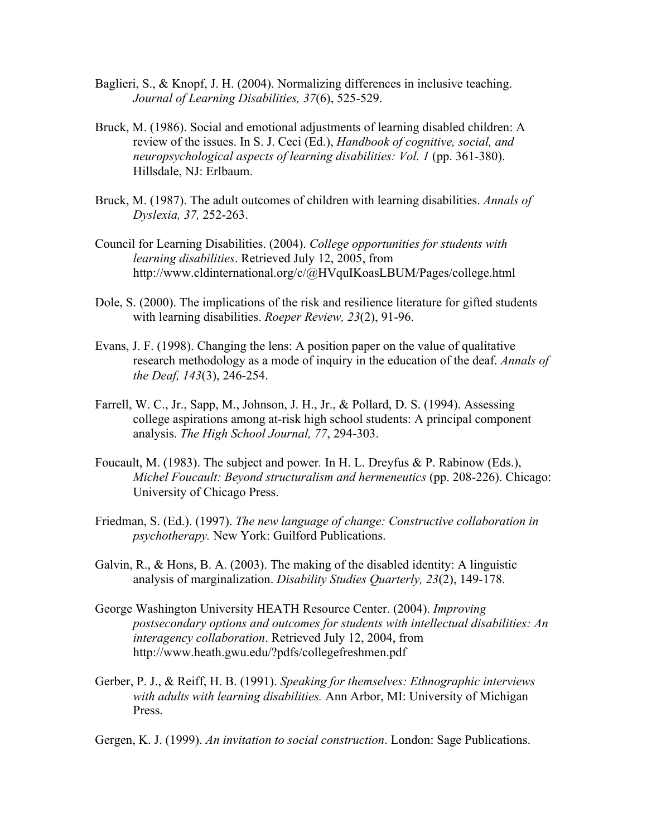- Baglieri, S., & Knopf, J. H. (2004). Normalizing differences in inclusive teaching. *Journal of Learning Disabilities, 37*(6), 525-529.
- Bruck, M. (1986). Social and emotional adjustments of learning disabled children: A review of the issues. In S. J. Ceci (Ed.), *Handbook of cognitive, social, and neuropsychological aspects of learning disabilities: Vol. 1* (pp. 361-380). Hillsdale, NJ: Erlbaum.
- Bruck, M. (1987). The adult outcomes of children with learning disabilities. *Annals of Dyslexia, 37,* 252-263.
- Council for Learning Disabilities. (2004). *College opportunities for students with learning disabilities*. Retrieved July 12, 2005, from http://www.cldinternational.org/c/@HVquIKoasLBUM/Pages/college.html
- Dole, S. (2000). The implications of the risk and resilience literature for gifted students with learning disabilities. *Roeper Review, 23*(2), 91-96.
- Evans, J. F. (1998). Changing the lens: A position paper on the value of qualitative research methodology as a mode of inquiry in the education of the deaf. *Annals of the Deaf, 143*(3), 246-254.
- Farrell, W. C., Jr., Sapp, M., Johnson, J. H., Jr., & Pollard, D. S. (1994). Assessing college aspirations among at-risk high school students: A principal component analysis. *The High School Journal, 77*, 294-303.
- Foucault, M. (1983). The subject and power*.* In H. L. Dreyfus & P. Rabinow (Eds.), *Michel Foucault: Beyond structuralism and hermeneutics* (pp. 208-226). Chicago: University of Chicago Press.
- Friedman, S. (Ed.). (1997). *The new language of change: Constructive collaboration in psychotherapy.* New York: Guilford Publications.
- Galvin, R., & Hons, B. A. (2003). The making of the disabled identity: A linguistic analysis of marginalization. *Disability Studies Quarterly, 23*(2), 149-178.
- George Washington University HEATH Resource Center. (2004). *Improving postsecondary options and outcomes for students with intellectual disabilities: An interagency collaboration*. Retrieved July 12, 2004, from http://www.heath.gwu.edu/?pdfs/collegefreshmen.pdf
- Gerber, P. J., & Reiff, H. B. (1991). *Speaking for themselves: Ethnographic interviews with adults with learning disabilities.* Ann Arbor, MI: University of Michigan Press.

Gergen, K. J. (1999). *An invitation to social construction*. London: Sage Publications.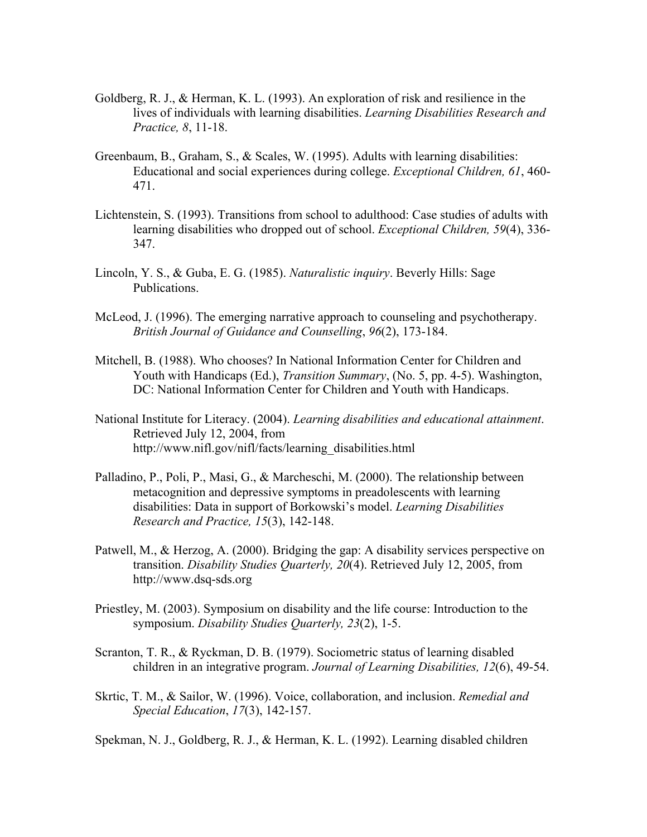- Goldberg, R. J., & Herman, K. L. (1993). An exploration of risk and resilience in the lives of individuals with learning disabilities. *Learning Disabilities Research and Practice, 8*, 11-18.
- Greenbaum, B., Graham, S., & Scales, W. (1995). Adults with learning disabilities: Educational and social experiences during college. *Exceptional Children, 61*, 460- 471.
- Lichtenstein, S. (1993). Transitions from school to adulthood: Case studies of adults with learning disabilities who dropped out of school. *Exceptional Children, 59*(4), 336- 347.
- Lincoln, Y. S., & Guba, E. G. (1985). *Naturalistic inquiry*. Beverly Hills: Sage Publications.
- McLeod, J. (1996). The emerging narrative approach to counseling and psychotherapy. *British Journal of Guidance and Counselling*, *96*(2), 173-184.
- Mitchell, B. (1988). Who chooses? In National Information Center for Children and Youth with Handicaps (Ed.), *Transition Summary*, (No. 5, pp. 4-5). Washington, DC: National Information Center for Children and Youth with Handicaps.
- National Institute for Literacy. (2004). *Learning disabilities and educational attainment*. Retrieved July 12, 2004, from http://www.nifl.gov/nifl/facts/learning\_disabilities.html
- Palladino, P., Poli, P., Masi, G., & Marcheschi, M. (2000). The relationship between metacognition and depressive symptoms in preadolescents with learning disabilities: Data in support of Borkowski's model. *Learning Disabilities Research and Practice, 15*(3), 142-148.
- Patwell, M., & Herzog, A. (2000). Bridging the gap: A disability services perspective on transition. *Disability Studies Quarterly, 20*(4). Retrieved July 12, 2005, from http://www.dsq-sds.org
- Priestley, M. (2003). Symposium on disability and the life course: Introduction to the symposium. *Disability Studies Quarterly, 23*(2), 1-5.
- Scranton, T. R., & Ryckman, D. B. (1979). Sociometric status of learning disabled children in an integrative program. *Journal of Learning Disabilities, 12*(6), 49-54.
- Skrtic, T. M., & Sailor, W. (1996). Voice, collaboration, and inclusion. *Remedial and Special Education*, *17*(3), 142-157.
- Spekman, N. J., Goldberg, R. J., & Herman, K. L. (1992). Learning disabled children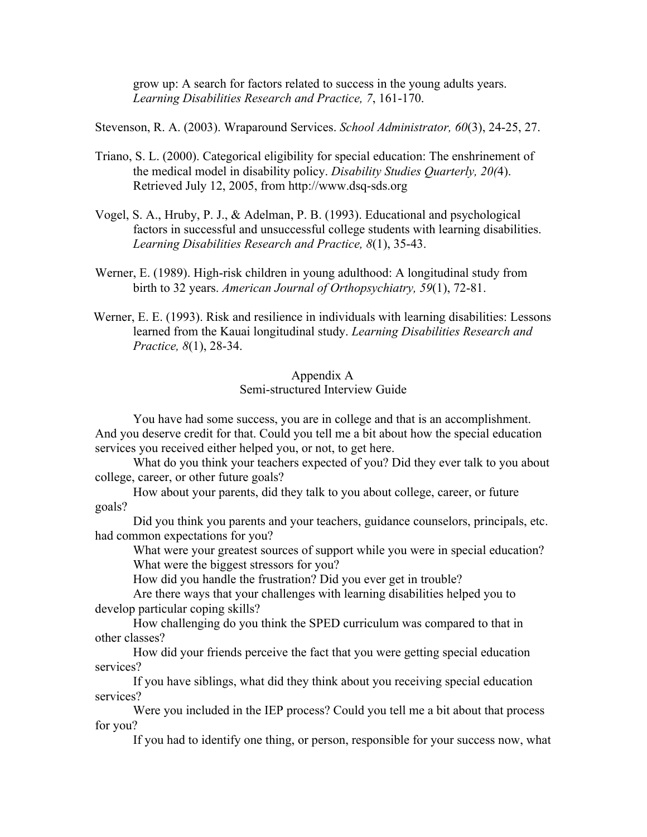grow up: A search for factors related to success in the young adults years. *Learning Disabilities Research and Practice, 7*, 161-170.

Stevenson, R. A. (2003). Wraparound Services. *School Administrator, 60*(3), 24-25, 27.

- Triano, S. L. (2000). Categorical eligibility for special education: The enshrinement of the medical model in disability policy. *Disability Studies Quarterly, 20(*4). Retrieved July 12, 2005, from http://www.dsq-sds.org
- Vogel, S. A., Hruby, P. J., & Adelman, P. B. (1993). Educational and psychological factors in successful and unsuccessful college students with learning disabilities. *Learning Disabilities Research and Practice, 8*(1), 35-43.
- Werner, E. (1989). High-risk children in young adulthood: A longitudinal study from birth to 32 years. *American Journal of Orthopsychiatry, 59*(1), 72-81.
- Werner, E. E. (1993). Risk and resilience in individuals with learning disabilities: Lessons learned from the Kauai longitudinal study. *Learning Disabilities Research and Practice, 8*(1), 28-34.

### Appendix A Semi-structured Interview Guide

You have had some success, you are in college and that is an accomplishment. And you deserve credit for that. Could you tell me a bit about how the special education services you received either helped you, or not, to get here.

What do you think your teachers expected of you? Did they ever talk to you about college, career, or other future goals?

How about your parents, did they talk to you about college, career, or future goals?

Did you think you parents and your teachers, guidance counselors, principals, etc. had common expectations for you?

What were your greatest sources of support while you were in special education? What were the biggest stressors for you?

How did you handle the frustration? Did you ever get in trouble?

Are there ways that your challenges with learning disabilities helped you to develop particular coping skills?

How challenging do you think the SPED curriculum was compared to that in other classes?

How did your friends perceive the fact that you were getting special education services?

If you have siblings, what did they think about you receiving special education services?

Were you included in the IEP process? Could you tell me a bit about that process for you?

If you had to identify one thing, or person, responsible for your success now, what